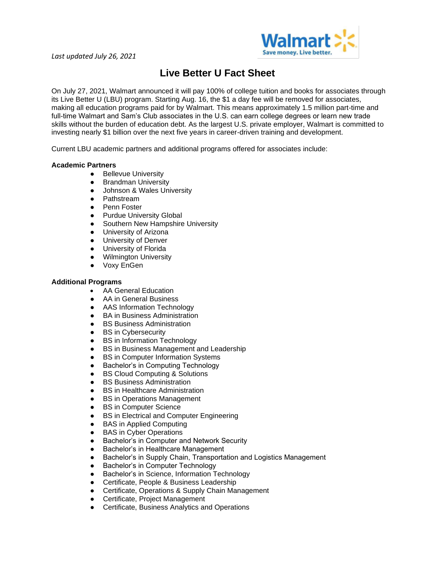

## **Live Better U Fact Sheet**

On July 27, 2021, Walmart announced it will pay 100% of college tuition and books for associates through its Live Better U (LBU) program. Starting Aug. 16, the \$1 a day fee will be removed for associates, making all education programs paid for by Walmart. This means approximately 1.5 million part-time and full-time Walmart and Sam's Club associates in the U.S. can earn college degrees or learn new trade skills without the burden of education debt. As the largest U.S. private employer, Walmart is committed to investing nearly \$1 billion over the next five years in career-driven training and development.

Current LBU academic partners and additional programs offered for associates include:

## **Academic Partners**

- Bellevue University
- **•** Brandman University
- Johnson & Wales University
- Pathstream
- Penn Foster
- Purdue University Global
- Southern New Hampshire University
- University of Arizona
- University of Denver
- University of Florida
- Wilmington University
- Voxy EnGen

## **Additional Programs**

- AA General Education
- AA in General Business
- AAS Information Technology
- BA in Business Administration
- BS Business Administration<br>● BS in Cybersecurity
- **BS** in Cybersecurity
- BS in Information Technology
- BS in Business Management and Leadership
- BS in Computer Information Systems
- Bachelor's in Computing Technology
- BS Cloud Computing & Solutions
- BS Business Administration
- BS in Healthcare Administration
- BS in Operations Management
- BS in Computer Science
- BS in Electrical and Computer Engineering
- BAS in Applied Computing
- BAS in Cyber Operations
- Bachelor's in Computer and Network Security
- Bachelor's in Healthcare Management
- Bachelor's in Supply Chain, Transportation and Logistics Management
- Bachelor's in Computer Technology
- Bachelor's in Science, Information Technology
- Certificate, People & Business Leadership
- Certificate, Operations & Supply Chain Management
- Certificate, Project Management
- Certificate, Business Analytics and Operations